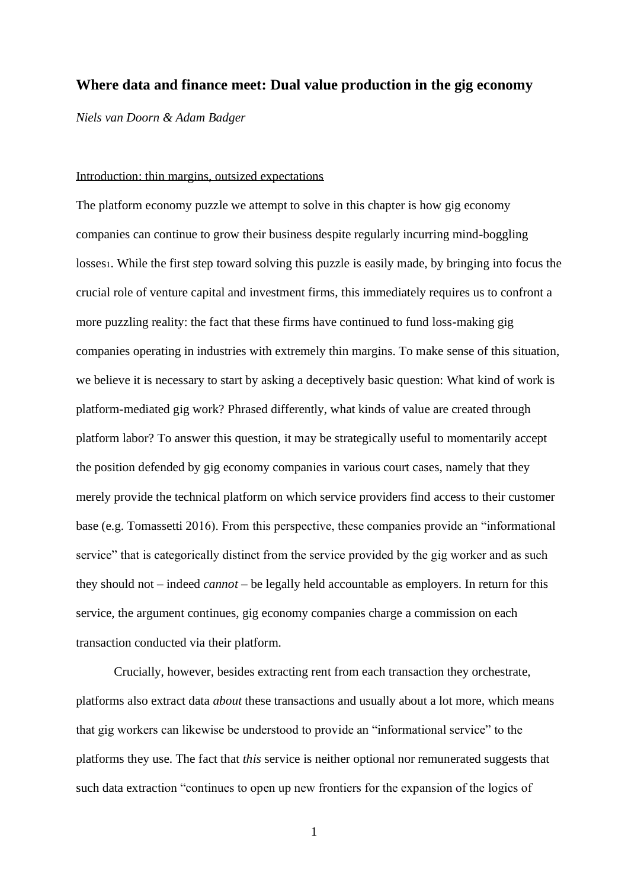# **Where data and finance meet: Dual value production in the gig economy**

*Niels van Doorn & Adam Badger*

#### Introduction: thin margins, outsized expectations

The platform economy puzzle we attempt to solve in this chapter is how gig economy companies can continue to grow their business despite regularly incurring mind-boggling losses1. While the first step toward solving this puzzle is easily made, by bringing into focus the crucial role of venture capital and investment firms, this immediately requires us to confront a more puzzling reality: the fact that these firms have continued to fund loss-making gig companies operating in industries with extremely thin margins. To make sense of this situation, we believe it is necessary to start by asking a deceptively basic question: What kind of work is platform-mediated gig work? Phrased differently, what kinds of value are created through platform labor? To answer this question, it may be strategically useful to momentarily accept the position defended by gig economy companies in various court cases, namely that they merely provide the technical platform on which service providers find access to their customer base (e.g. Tomassetti 2016). From this perspective, these companies provide an "informational service" that is categorically distinct from the service provided by the gig worker and as such they should not – indeed *cannot* – be legally held accountable as employers. In return for this service, the argument continues, gig economy companies charge a commission on each transaction conducted via their platform.

Crucially, however, besides extracting rent from each transaction they orchestrate, platforms also extract data *about* these transactions and usually about a lot more, which means that gig workers can likewise be understood to provide an "informational service" to the platforms they use. The fact that *this* service is neither optional nor remunerated suggests that such data extraction "continues to open up new frontiers for the expansion of the logics of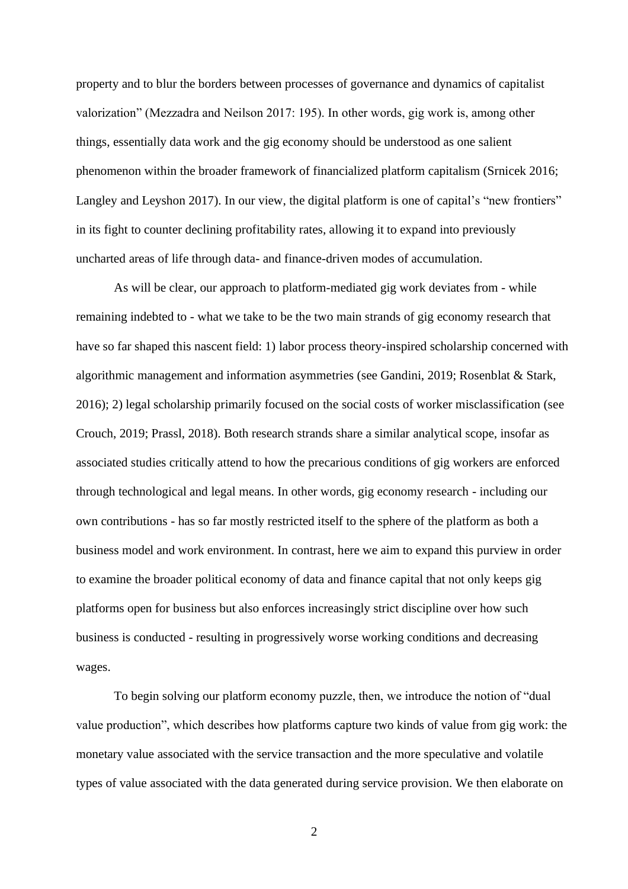property and to blur the borders between processes of governance and dynamics of capitalist valorization" (Mezzadra and Neilson 2017: 195). In other words, gig work is, among other things, essentially data work and the gig economy should be understood as one salient phenomenon within the broader framework of financialized platform capitalism (Srnicek 2016; Langley and Leyshon 2017). In our view, the digital platform is one of capital's "new frontiers" in its fight to counter declining profitability rates, allowing it to expand into previously uncharted areas of life through data- and finance-driven modes of accumulation.

As will be clear, our approach to platform-mediated gig work deviates from - while remaining indebted to - what we take to be the two main strands of gig economy research that have so far shaped this nascent field: 1) labor process theory-inspired scholarship concerned with algorithmic management and information asymmetries (see Gandini, 2019; Rosenblat & Stark, 2016); 2) legal scholarship primarily focused on the social costs of worker misclassification (see Crouch, 2019; Prassl, 2018). Both research strands share a similar analytical scope, insofar as associated studies critically attend to how the precarious conditions of gig workers are enforced through technological and legal means. In other words, gig economy research - including our own contributions - has so far mostly restricted itself to the sphere of the platform as both a business model and work environment. In contrast, here we aim to expand this purview in order to examine the broader political economy of data and finance capital that not only keeps gig platforms open for business but also enforces increasingly strict discipline over how such business is conducted - resulting in progressively worse working conditions and decreasing wages.

To begin solving our platform economy puzzle, then, we introduce the notion of "dual value production", which describes how platforms capture two kinds of value from gig work: the monetary value associated with the service transaction and the more speculative and volatile types of value associated with the data generated during service provision. We then elaborate on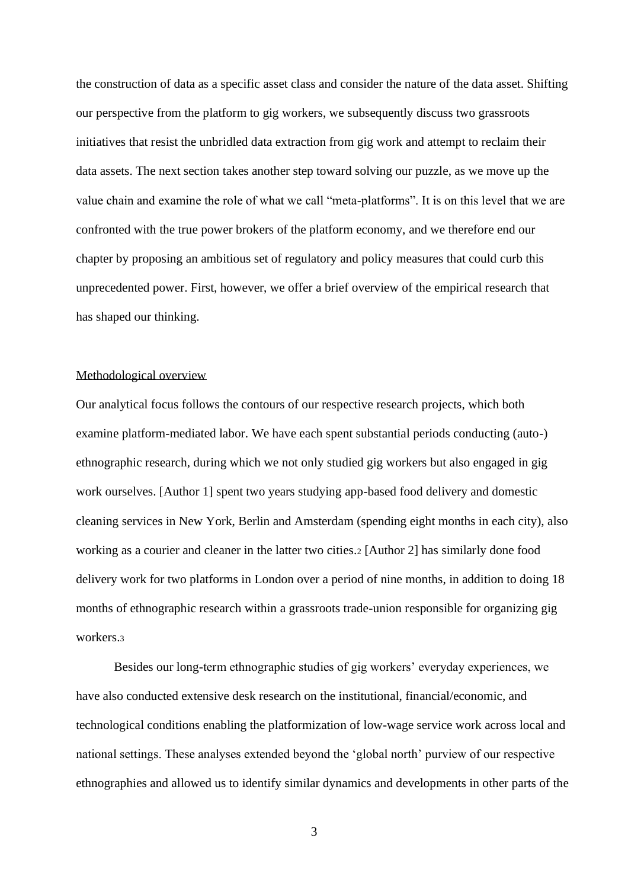the construction of data as a specific asset class and consider the nature of the data asset. Shifting our perspective from the platform to gig workers, we subsequently discuss two grassroots initiatives that resist the unbridled data extraction from gig work and attempt to reclaim their data assets. The next section takes another step toward solving our puzzle, as we move up the value chain and examine the role of what we call "meta-platforms". It is on this level that we are confronted with the true power brokers of the platform economy, and we therefore end our chapter by proposing an ambitious set of regulatory and policy measures that could curb this unprecedented power. First, however, we offer a brief overview of the empirical research that has shaped our thinking.

## Methodological overview

Our analytical focus follows the contours of our respective research projects, which both examine platform-mediated labor. We have each spent substantial periods conducting (auto-) ethnographic research, during which we not only studied gig workers but also engaged in gig work ourselves. [Author 1] spent two years studying app-based food delivery and domestic cleaning services in New York, Berlin and Amsterdam (spending eight months in each city), also working as a courier and cleaner in the latter two cities.<sup>2</sup> [Author 2] has similarly done food delivery work for two platforms in London over a period of nine months, in addition to doing 18 months of ethnographic research within a grassroots trade-union responsible for organizing gig workers.<sup>3</sup>

Besides our long-term ethnographic studies of gig workers' everyday experiences, we have also conducted extensive desk research on the institutional, financial/economic, and technological conditions enabling the platformization of low-wage service work across local and national settings. These analyses extended beyond the 'global north' purview of our respective ethnographies and allowed us to identify similar dynamics and developments in other parts of the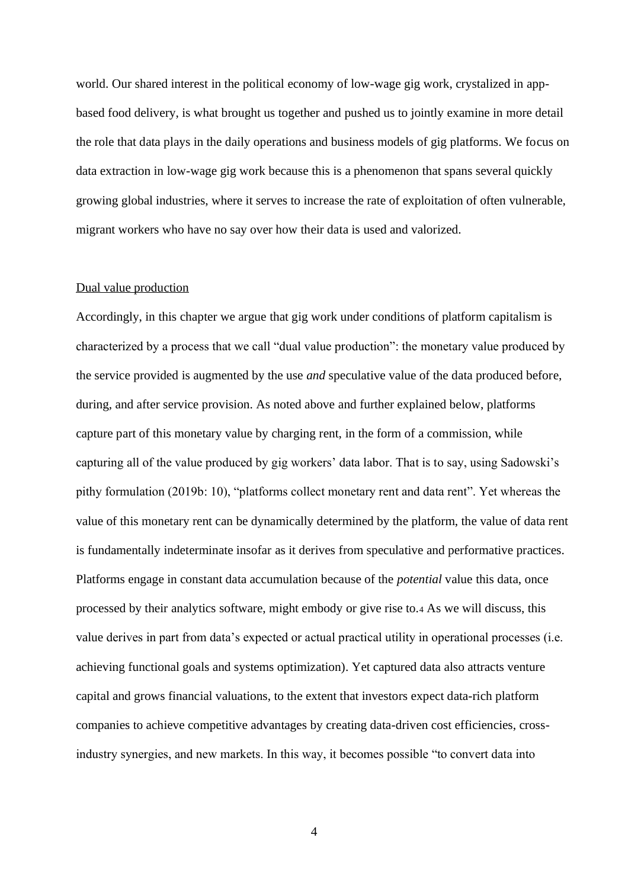world. Our shared interest in the political economy of low-wage gig work, crystalized in appbased food delivery, is what brought us together and pushed us to jointly examine in more detail the role that data plays in the daily operations and business models of gig platforms. We focus on data extraction in low-wage gig work because this is a phenomenon that spans several quickly growing global industries, where it serves to increase the rate of exploitation of often vulnerable, migrant workers who have no say over how their data is used and valorized.

## Dual value production

Accordingly, in this chapter we argue that gig work under conditions of platform capitalism is characterized by a process that we call "dual value production": the monetary value produced by the service provided is augmented by the use *and* speculative value of the data produced before, during, and after service provision. As noted above and further explained below, platforms capture part of this monetary value by charging rent, in the form of a commission, while capturing all of the value produced by gig workers' data labor. That is to say, using Sadowski's pithy formulation (2019b: 10), "platforms collect monetary rent and data rent". Yet whereas the value of this monetary rent can be dynamically determined by the platform, the value of data rent is fundamentally indeterminate insofar as it derives from speculative and performative practices. Platforms engage in constant data accumulation because of the *potential* value this data, once processed by their analytics software, might embody or give rise to.<sup>4</sup> As we will discuss, this value derives in part from data's expected or actual practical utility in operational processes (i.e. achieving functional goals and systems optimization). Yet captured data also attracts venture capital and grows financial valuations, to the extent that investors expect data-rich platform companies to achieve competitive advantages by creating data-driven cost efficiencies, crossindustry synergies, and new markets. In this way, it becomes possible "to convert data into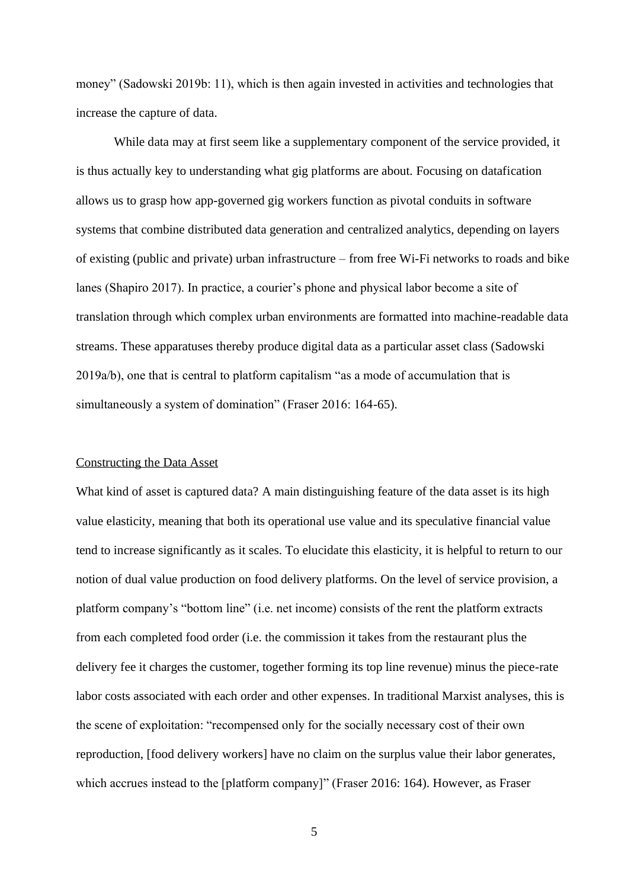money" (Sadowski 2019b: 11), which is then again invested in activities and technologies that increase the capture of data.

While data may at first seem like a supplementary component of the service provided, it is thus actually key to understanding what gig platforms are about. Focusing on datafication allows us to grasp how app-governed gig workers function as pivotal conduits in software systems that combine distributed data generation and centralized analytics, depending on layers of existing (public and private) urban infrastructure – from free Wi-Fi networks to roads and bike lanes (Shapiro 2017). In practice, a courier's phone and physical labor become a site of translation through which complex urban environments are formatted into machine-readable data streams. These apparatuses thereby produce digital data as a particular asset class (Sadowski 2019a/b), one that is central to platform capitalism "as a mode of accumulation that is simultaneously a system of domination" (Fraser 2016: 164-65).

## Constructing the Data Asset

What kind of asset is captured data? A main distinguishing feature of the data asset is its high value elasticity, meaning that both its operational use value and its speculative financial value tend to increase significantly as it scales. To elucidate this elasticity, it is helpful to return to our notion of dual value production on food delivery platforms. On the level of service provision, a platform company's "bottom line" (i.e. net income) consists of the rent the platform extracts from each completed food order (i.e. the commission it takes from the restaurant plus the delivery fee it charges the customer, together forming its top line revenue) minus the piece-rate labor costs associated with each order and other expenses. In traditional Marxist analyses, this is the scene of exploitation: "recompensed only for the socially necessary cost of their own reproduction, [food delivery workers] have no claim on the surplus value their labor generates, which accrues instead to the [platform company]" (Fraser 2016: 164). However, as Fraser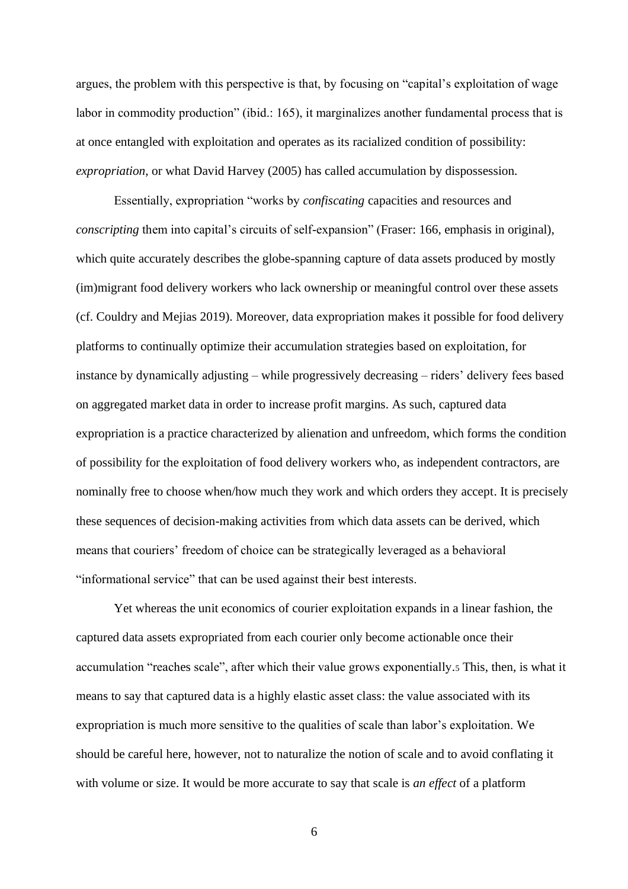argues, the problem with this perspective is that, by focusing on "capital's exploitation of wage labor in commodity production" (ibid.: 165), it marginalizes another fundamental process that is at once entangled with exploitation and operates as its racialized condition of possibility: *expropriation*, or what David Harvey (2005) has called accumulation by dispossession.

Essentially, expropriation "works by *confiscating* capacities and resources and *conscripting* them into capital's circuits of self-expansion" (Fraser: 166, emphasis in original), which quite accurately describes the globe-spanning capture of data assets produced by mostly (im)migrant food delivery workers who lack ownership or meaningful control over these assets (cf. Couldry and Mejias 2019). Moreover, data expropriation makes it possible for food delivery platforms to continually optimize their accumulation strategies based on exploitation, for instance by dynamically adjusting – while progressively decreasing – riders' delivery fees based on aggregated market data in order to increase profit margins. As such, captured data expropriation is a practice characterized by alienation and unfreedom, which forms the condition of possibility for the exploitation of food delivery workers who, as independent contractors, are nominally free to choose when/how much they work and which orders they accept. It is precisely these sequences of decision-making activities from which data assets can be derived, which means that couriers' freedom of choice can be strategically leveraged as a behavioral "informational service" that can be used against their best interests.

Yet whereas the unit economics of courier exploitation expands in a linear fashion, the captured data assets expropriated from each courier only become actionable once their accumulation "reaches scale", after which their value grows exponentially.<sup>5</sup> This, then, is what it means to say that captured data is a highly elastic asset class: the value associated with its expropriation is much more sensitive to the qualities of scale than labor's exploitation. We should be careful here, however, not to naturalize the notion of scale and to avoid conflating it with volume or size. It would be more accurate to say that scale is *an effect* of a platform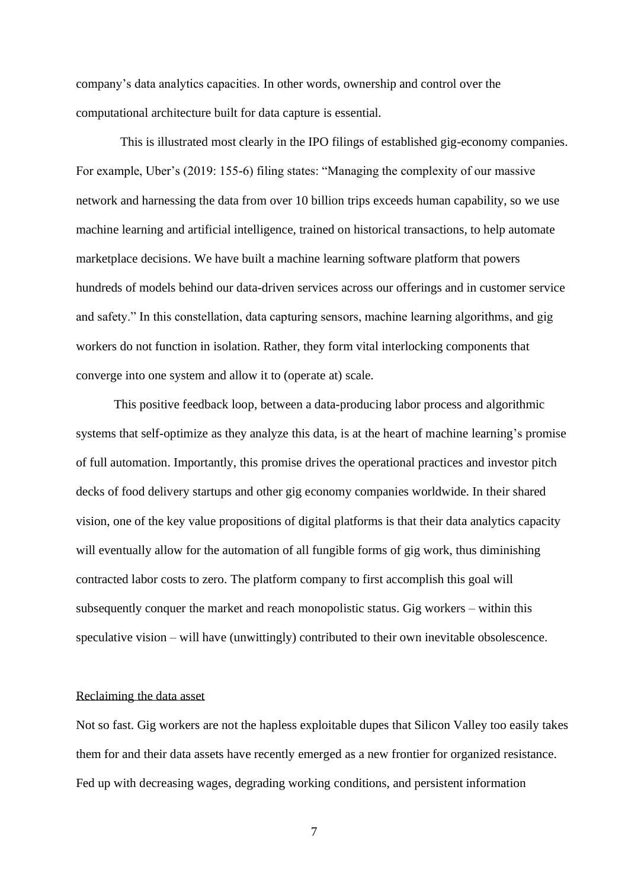company's data analytics capacities. In other words, ownership and control over the computational architecture built for data capture is essential.

 This is illustrated most clearly in the IPO filings of established gig-economy companies. For example, Uber's (2019: 155-6) filing states: "Managing the complexity of our massive network and harnessing the data from over 10 billion trips exceeds human capability, so we use machine learning and artificial intelligence, trained on historical transactions, to help automate marketplace decisions. We have built a machine learning software platform that powers hundreds of models behind our data-driven services across our offerings and in customer service and safety." In this constellation, data capturing sensors, machine learning algorithms, and gig workers do not function in isolation. Rather, they form vital interlocking components that converge into one system and allow it to (operate at) scale.

This positive feedback loop, between a data-producing labor process and algorithmic systems that self-optimize as they analyze this data, is at the heart of machine learning's promise of full automation. Importantly, this promise drives the operational practices and investor pitch decks of food delivery startups and other gig economy companies worldwide. In their shared vision, one of the key value propositions of digital platforms is that their data analytics capacity will eventually allow for the automation of all fungible forms of gig work, thus diminishing contracted labor costs to zero. The platform company to first accomplish this goal will subsequently conquer the market and reach monopolistic status. Gig workers – within this speculative vision – will have (unwittingly) contributed to their own inevitable obsolescence.

#### Reclaiming the data asset

Not so fast. Gig workers are not the hapless exploitable dupes that Silicon Valley too easily takes them for and their data assets have recently emerged as a new frontier for organized resistance. Fed up with decreasing wages, degrading working conditions, and persistent information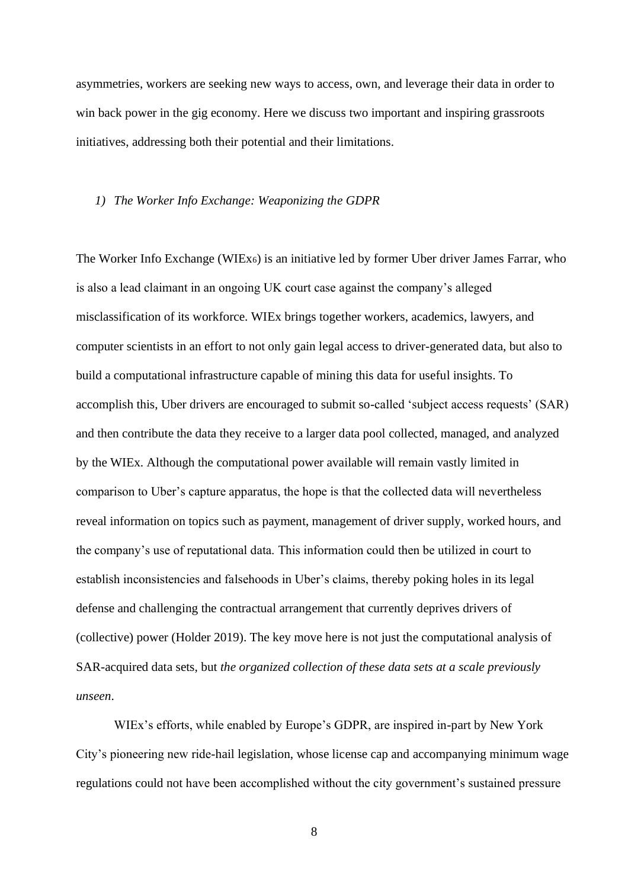asymmetries, workers are seeking new ways to access, own, and leverage their data in order to win back power in the gig economy. Here we discuss two important and inspiring grassroots initiatives, addressing both their potential and their limitations.

#### *1) The Worker Info Exchange: Weaponizing the GDPR*

The Worker Info Exchange (WIEx6) is an initiative led by former Uber driver James Farrar, who is also a lead claimant in an ongoing UK court case against the company's alleged misclassification of its workforce. WIEx brings together workers, academics, lawyers, and computer scientists in an effort to not only gain legal access to driver-generated data, but also to build a computational infrastructure capable of mining this data for useful insights. To accomplish this, Uber drivers are encouraged to submit so-called 'subject access requests' (SAR) and then contribute the data they receive to a larger data pool collected, managed, and analyzed by the WIEx. Although the computational power available will remain vastly limited in comparison to Uber's capture apparatus, the hope is that the collected data will nevertheless reveal information on topics such as payment, management of driver supply, worked hours, and the company's use of reputational data. This information could then be utilized in court to establish inconsistencies and falsehoods in Uber's claims, thereby poking holes in its legal defense and challenging the contractual arrangement that currently deprives drivers of (collective) power (Holder 2019). The key move here is not just the computational analysis of SAR-acquired data sets, but *the organized collection of these data sets at a scale previously unseen*.

WIEx's efforts, while enabled by Europe's GDPR, are inspired in-part by New York City's pioneering new ride-hail legislation, whose license cap and accompanying minimum wage regulations could not have been accomplished without the city government's sustained pressure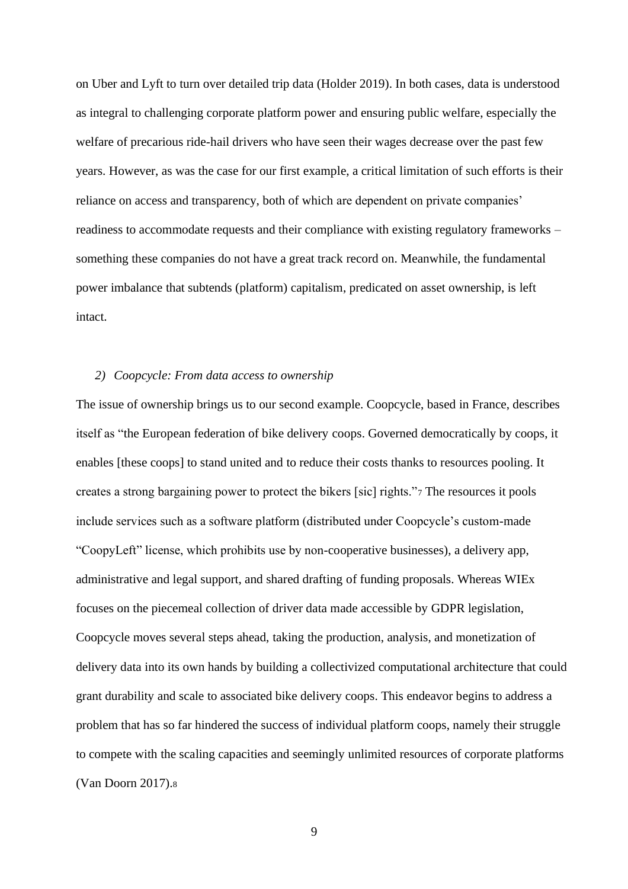on Uber and Lyft to turn over detailed trip data (Holder 2019). In both cases, data is understood as integral to challenging corporate platform power and ensuring public welfare, especially the welfare of precarious ride-hail drivers who have seen their wages decrease over the past few years. However, as was the case for our first example, a critical limitation of such efforts is their reliance on access and transparency, both of which are dependent on private companies' readiness to accommodate requests and their compliance with existing regulatory frameworks – something these companies do not have a great track record on. Meanwhile, the fundamental power imbalance that subtends (platform) capitalism, predicated on asset ownership, is left intact.

## *2) Coopcycle: From data access to ownership*

The issue of ownership brings us to our second example. Coopcycle, based in France, describes itself as "the European federation of bike delivery coops. Governed democratically by coops, it enables [these coops] to stand united and to reduce their costs thanks to resources pooling. It creates a strong bargaining power to protect the bikers [sic] rights."<sup>7</sup> The resources it pools include services such as a software platform (distributed under Coopcycle's custom-made "CoopyLeft" license, which prohibits use by non-cooperative businesses), a delivery app, administrative and legal support, and shared drafting of funding proposals. Whereas WIEx focuses on the piecemeal collection of driver data made accessible by GDPR legislation, Coopcycle moves several steps ahead, taking the production, analysis, and monetization of delivery data into its own hands by building a collectivized computational architecture that could grant durability and scale to associated bike delivery coops. This endeavor begins to address a problem that has so far hindered the success of individual platform coops, namely their struggle to compete with the scaling capacities and seemingly unlimited resources of corporate platforms (Van Doorn 2017).8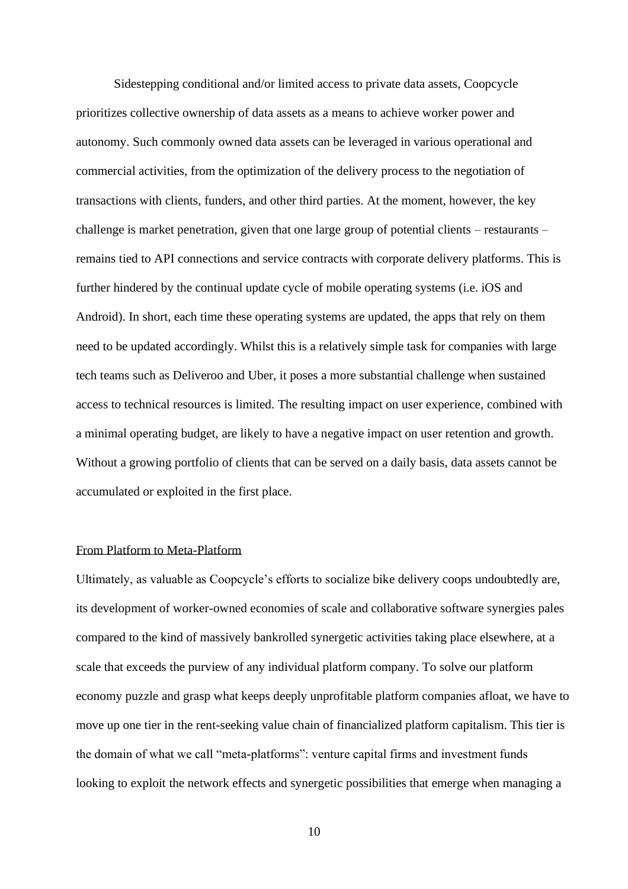Sidestepping conditional and/or limited access to private data assets, Coopcycle prioritizes collective ownership of data assets as a means to achieve worker power and autonomy. Such commonly owned data assets can be leveraged in various operational and commercial activities, from the optimization of the delivery process to the negotiation of transactions with clients, funders, and other third parties. At the moment, however, the key challenge is market penetration, given that one large group of potential clients – restaurants – remains tied to API connections and service contracts with corporate delivery platforms. This is further hindered by the continual update cycle of mobile operating systems (i.e. iOS and Android). In short, each time these operating systems are updated, the apps that rely on them need to be updated accordingly. Whilst this is a relatively simple task for companies with large tech teams such as Deliveroo and Uber, it poses a more substantial challenge when sustained access to technical resources is limited. The resulting impact on user experience, combined with a minimal operating budget, are likely to have a negative impact on user retention and growth. Without a growing portfolio of clients that can be served on a daily basis, data assets cannot be accumulated or exploited in the first place.

# From Platform to Meta-Platform

Ultimately, as valuable as Coopcycle's efforts to socialize bike delivery coops undoubtedly are, its development of worker-owned economies of scale and collaborative software synergies pales compared to the kind of massively bankrolled synergetic activities taking place elsewhere, at a scale that exceeds the purview of any individual platform company. To solve our platform economy puzzle and grasp what keeps deeply unprofitable platform companies afloat, we have to move up one tier in the rent-seeking value chain of financialized platform capitalism. This tier is the domain of what we call "meta-platforms": venture capital firms and investment funds looking to exploit the network effects and synergetic possibilities that emerge when managing a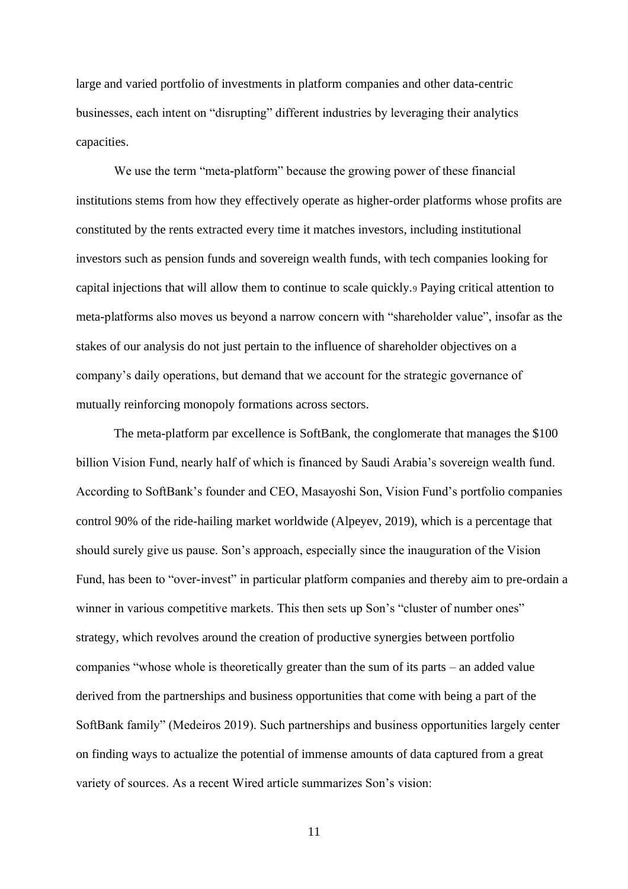large and varied portfolio of investments in platform companies and other data-centric businesses, each intent on "disrupting" different industries by leveraging their analytics capacities.

We use the term "meta-platform" because the growing power of these financial institutions stems from how they effectively operate as higher-order platforms whose profits are constituted by the rents extracted every time it matches investors, including institutional investors such as pension funds and sovereign wealth funds, with tech companies looking for capital injections that will allow them to continue to scale quickly.<sup>9</sup> Paying critical attention to meta-platforms also moves us beyond a narrow concern with "shareholder value", insofar as the stakes of our analysis do not just pertain to the influence of shareholder objectives on a company's daily operations, but demand that we account for the strategic governance of mutually reinforcing monopoly formations across sectors.

The meta-platform par excellence is SoftBank, the conglomerate that manages the \$100 billion Vision Fund, nearly half of which is financed by Saudi Arabia's sovereign wealth fund. According to SoftBank's founder and CEO, Masayoshi Son, Vision Fund's portfolio companies control 90% of the ride-hailing market worldwide (Alpeyev, 2019), which is a percentage that should surely give us pause. Son's approach, especially since the inauguration of the Vision Fund, has been to "over-invest" in particular platform companies and thereby aim to pre-ordain a winner in various competitive markets. This then sets up Son's "cluster of number ones" strategy, which revolves around the creation of productive synergies between portfolio companies "whose whole is theoretically greater than the sum of its parts – an added value derived from the partnerships and business opportunities that come with being a part of the SoftBank family" (Medeiros 2019). Such partnerships and business opportunities largely center on finding ways to actualize the potential of immense amounts of data captured from a great variety of sources. As a recent Wired article summarizes Son's vision: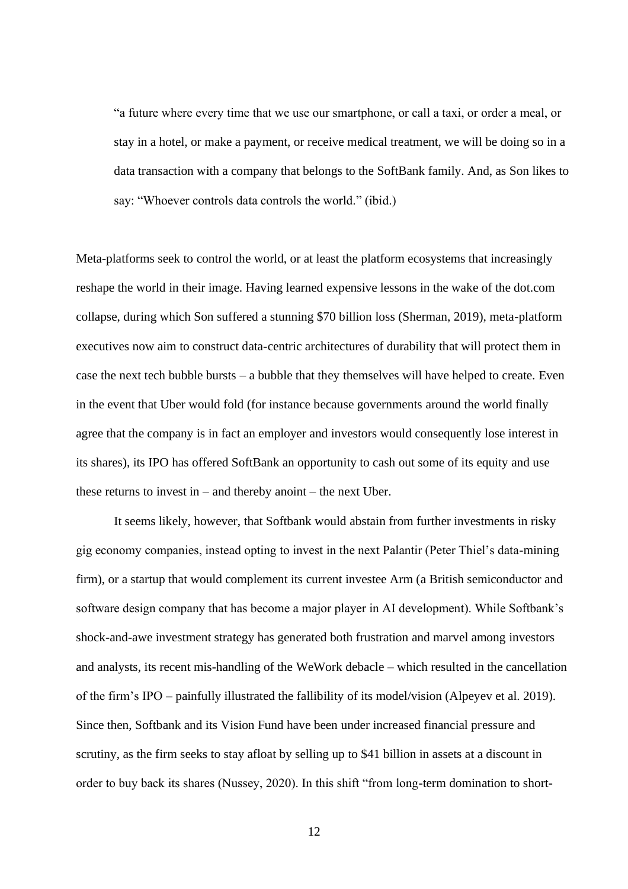"a future where every time that we use our smartphone, or call a taxi, or order a meal, or stay in a hotel, or make a payment, or receive medical treatment, we will be doing so in a data transaction with a company that belongs to the SoftBank family. And, as Son likes to say: "Whoever controls data controls the world." (ibid.)

Meta-platforms seek to control the world, or at least the platform ecosystems that increasingly reshape the world in their image. Having learned expensive lessons in the wake of the dot.com collapse, during which Son suffered a stunning \$70 billion loss (Sherman, 2019), meta-platform executives now aim to construct data-centric architectures of durability that will protect them in case the next tech bubble bursts – a bubble that they themselves will have helped to create. Even in the event that Uber would fold (for instance because governments around the world finally agree that the company is in fact an employer and investors would consequently lose interest in its shares), its IPO has offered SoftBank an opportunity to cash out some of its equity and use these returns to invest in  $-$  and thereby anoint  $-$  the next Uber.

It seems likely, however, that Softbank would abstain from further investments in risky gig economy companies, instead opting to invest in the next Palantir (Peter Thiel's data-mining firm), or a startup that would complement its current investee Arm (a British semiconductor and software design company that has become a major player in AI development). While Softbank's shock-and-awe investment strategy has generated both frustration and marvel among investors and analysts, its recent mis-handling of the WeWork debacle – which resulted in the cancellation of the firm's IPO – painfully illustrated the fallibility of its model/vision (Alpeyev et al. 2019). Since then, Softbank and its Vision Fund have been under increased financial pressure and scrutiny, as the firm seeks to stay afloat by selling up to \$41 billion in assets at a discount in order to buy back its shares (Nussey, 2020). In this shift "from long-term domination to short-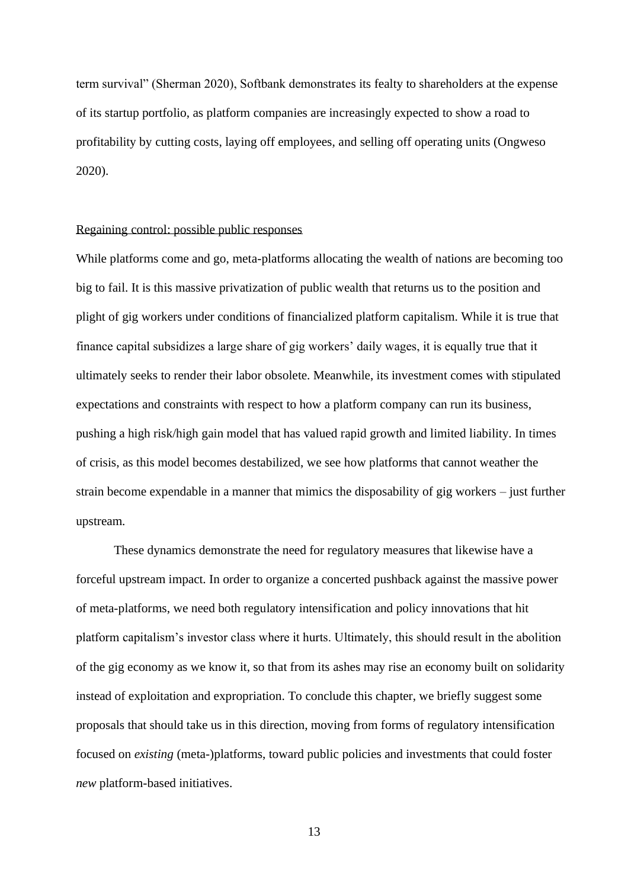term survival" (Sherman 2020), Softbank demonstrates its fealty to shareholders at the expense of its startup portfolio, as platform companies are increasingly expected to show a road to profitability by cutting costs, laying off employees, and selling off operating units (Ongweso 2020).

## Regaining control: possible public responses

While platforms come and go, meta-platforms allocating the wealth of nations are becoming too big to fail. It is this massive privatization of public wealth that returns us to the position and plight of gig workers under conditions of financialized platform capitalism. While it is true that finance capital subsidizes a large share of gig workers' daily wages, it is equally true that it ultimately seeks to render their labor obsolete. Meanwhile, its investment comes with stipulated expectations and constraints with respect to how a platform company can run its business, pushing a high risk/high gain model that has valued rapid growth and limited liability. In times of crisis, as this model becomes destabilized, we see how platforms that cannot weather the strain become expendable in a manner that mimics the disposability of gig workers – just further upstream.

These dynamics demonstrate the need for regulatory measures that likewise have a forceful upstream impact. In order to organize a concerted pushback against the massive power of meta-platforms, we need both regulatory intensification and policy innovations that hit platform capitalism's investor class where it hurts. Ultimately, this should result in the abolition of the gig economy as we know it, so that from its ashes may rise an economy built on solidarity instead of exploitation and expropriation. To conclude this chapter, we briefly suggest some proposals that should take us in this direction, moving from forms of regulatory intensification focused on *existing* (meta-)platforms, toward public policies and investments that could foster *new* platform-based initiatives.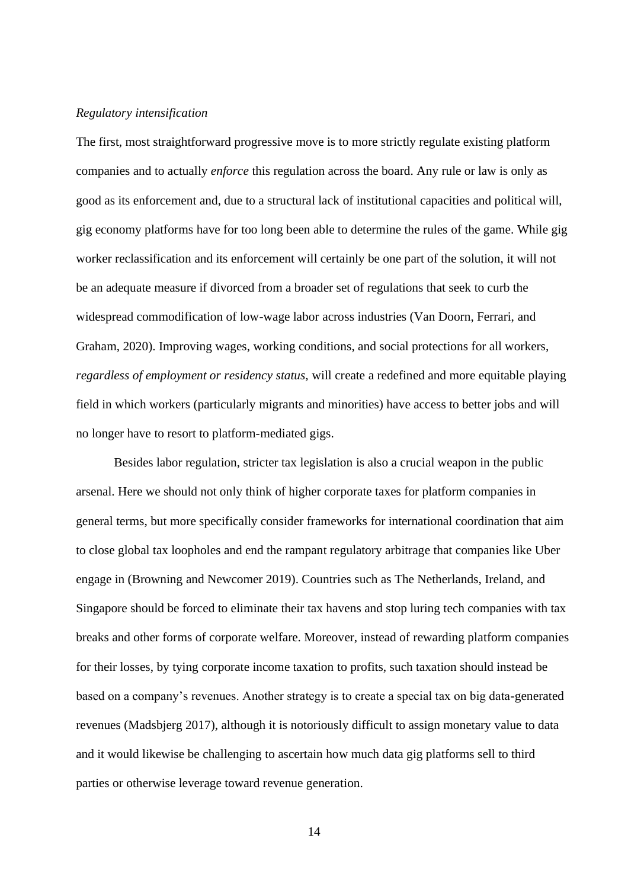## *Regulatory intensification*

The first, most straightforward progressive move is to more strictly regulate existing platform companies and to actually *enforce* this regulation across the board. Any rule or law is only as good as its enforcement and, due to a structural lack of institutional capacities and political will, gig economy platforms have for too long been able to determine the rules of the game. While gig worker reclassification and its enforcement will certainly be one part of the solution, it will not be an adequate measure if divorced from a broader set of regulations that seek to curb the widespread commodification of low-wage labor across industries (Van Doorn, Ferrari, and Graham, 2020). Improving wages, working conditions, and social protections for all workers, *regardless of employment or residency status,* will create a redefined and more equitable playing field in which workers (particularly migrants and minorities) have access to better jobs and will no longer have to resort to platform-mediated gigs.

Besides labor regulation, stricter tax legislation is also a crucial weapon in the public arsenal. Here we should not only think of higher corporate taxes for platform companies in general terms, but more specifically consider frameworks for international coordination that aim to close global tax loopholes and end the rampant regulatory arbitrage that companies like Uber engage in (Browning and Newcomer 2019). Countries such as The Netherlands, Ireland, and Singapore should be forced to eliminate their tax havens and stop luring tech companies with tax breaks and other forms of corporate welfare. Moreover, instead of rewarding platform companies for their losses, by tying corporate income taxation to profits, such taxation should instead be based on a company's revenues. Another strategy is to create a special tax on big data-generated revenues (Madsbjerg 2017), although it is notoriously difficult to assign monetary value to data and it would likewise be challenging to ascertain how much data gig platforms sell to third parties or otherwise leverage toward revenue generation.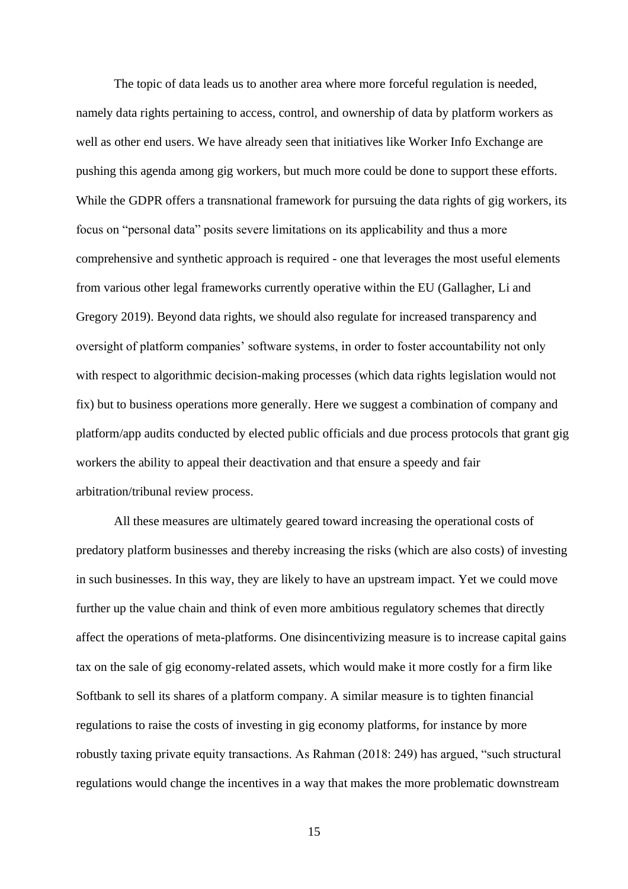The topic of data leads us to another area where more forceful regulation is needed, namely data rights pertaining to access, control, and ownership of data by platform workers as well as other end users. We have already seen that initiatives like Worker Info Exchange are pushing this agenda among gig workers, but much more could be done to support these efforts. While the GDPR offers a transnational framework for pursuing the data rights of gig workers, its focus on "personal data" posits severe limitations on its applicability and thus a more comprehensive and synthetic approach is required - one that leverages the most useful elements from various other legal frameworks currently operative within the EU (Gallagher, Li and Gregory 2019). Beyond data rights, we should also regulate for increased transparency and oversight of platform companies' software systems, in order to foster accountability not only with respect to algorithmic decision-making processes (which data rights legislation would not fix) but to business operations more generally. Here we suggest a combination of company and platform/app audits conducted by elected public officials and due process protocols that grant gig workers the ability to appeal their deactivation and that ensure a speedy and fair arbitration/tribunal review process.

All these measures are ultimately geared toward increasing the operational costs of predatory platform businesses and thereby increasing the risks (which are also costs) of investing in such businesses. In this way, they are likely to have an upstream impact. Yet we could move further up the value chain and think of even more ambitious regulatory schemes that directly affect the operations of meta-platforms. One disincentivizing measure is to increase capital gains tax on the sale of gig economy-related assets, which would make it more costly for a firm like Softbank to sell its shares of a platform company. A similar measure is to tighten financial regulations to raise the costs of investing in gig economy platforms, for instance by more robustly taxing private equity transactions. As Rahman (2018: 249) has argued, "such structural regulations would change the incentives in a way that makes the more problematic downstream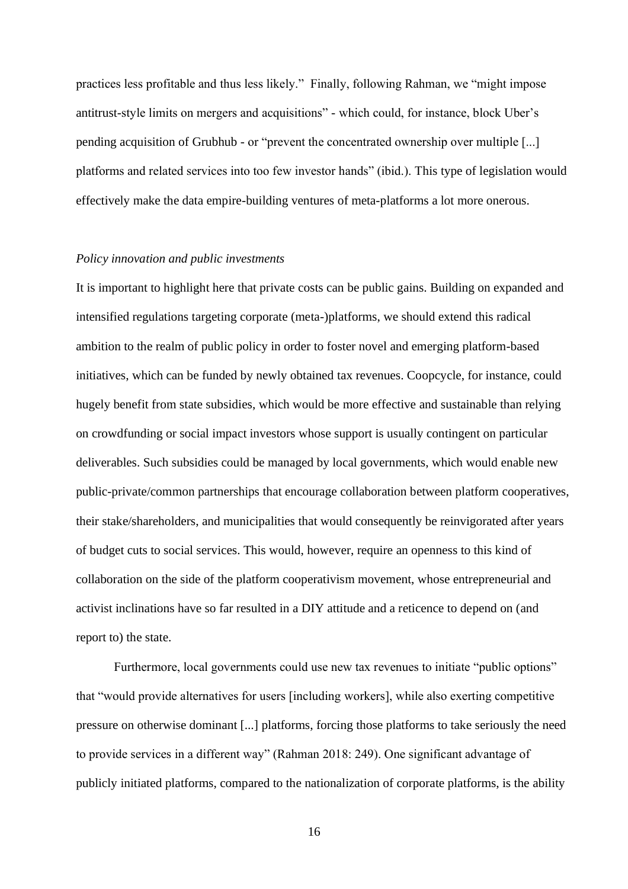practices less profitable and thus less likely." Finally, following Rahman, we "might impose antitrust-style limits on mergers and acquisitions" - which could, for instance, block Uber's pending acquisition of Grubhub - or "prevent the concentrated ownership over multiple [...] platforms and related services into too few investor hands" (ibid.). This type of legislation would effectively make the data empire-building ventures of meta-platforms a lot more onerous.

#### *Policy innovation and public investments*

It is important to highlight here that private costs can be public gains. Building on expanded and intensified regulations targeting corporate (meta-)platforms, we should extend this radical ambition to the realm of public policy in order to foster novel and emerging platform-based initiatives, which can be funded by newly obtained tax revenues. Coopcycle, for instance, could hugely benefit from state subsidies, which would be more effective and sustainable than relying on crowdfunding or social impact investors whose support is usually contingent on particular deliverables. Such subsidies could be managed by local governments, which would enable new public-private/common partnerships that encourage collaboration between platform cooperatives, their stake/shareholders, and municipalities that would consequently be reinvigorated after years of budget cuts to social services. This would, however, require an openness to this kind of collaboration on the side of the platform cooperativism movement, whose entrepreneurial and activist inclinations have so far resulted in a DIY attitude and a reticence to depend on (and report to) the state.

Furthermore, local governments could use new tax revenues to initiate "public options" that "would provide alternatives for users [including workers], while also exerting competitive pressure on otherwise dominant [...] platforms, forcing those platforms to take seriously the need to provide services in a different way" (Rahman 2018: 249). One significant advantage of publicly initiated platforms, compared to the nationalization of corporate platforms, is the ability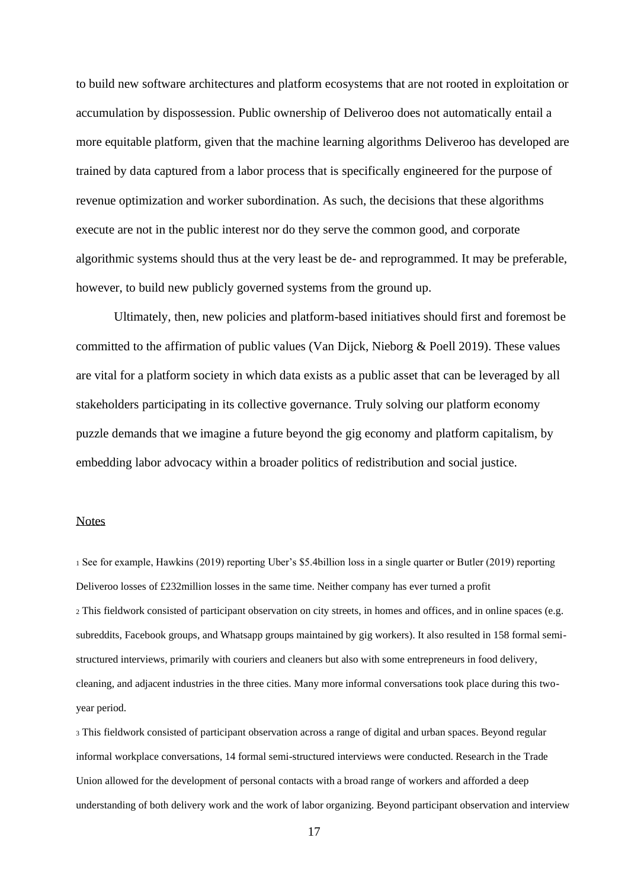to build new software architectures and platform ecosystems that are not rooted in exploitation or accumulation by dispossession. Public ownership of Deliveroo does not automatically entail a more equitable platform, given that the machine learning algorithms Deliveroo has developed are trained by data captured from a labor process that is specifically engineered for the purpose of revenue optimization and worker subordination. As such, the decisions that these algorithms execute are not in the public interest nor do they serve the common good, and corporate algorithmic systems should thus at the very least be de- and reprogrammed. It may be preferable, however, to build new publicly governed systems from the ground up.

Ultimately, then, new policies and platform-based initiatives should first and foremost be committed to the affirmation of public values (Van Dijck, Nieborg & Poell 2019). These values are vital for a platform society in which data exists as a public asset that can be leveraged by all stakeholders participating in its collective governance. Truly solving our platform economy puzzle demands that we imagine a future beyond the gig economy and platform capitalism, by embedding labor advocacy within a broader politics of redistribution and social justice.

## **Notes**

<sup>1</sup> See for example, Hawkins (2019) reporting Uber's \$5.4billion loss in a single quarter or Butler (2019) reporting Deliveroo losses of £232million losses in the same time. Neither company has ever turned a profit <sup>2</sup> This fieldwork consisted of participant observation on city streets, in homes and offices, and in online spaces (e.g. subreddits, Facebook groups, and Whatsapp groups maintained by gig workers). It also resulted in 158 formal semistructured interviews, primarily with couriers and cleaners but also with some entrepreneurs in food delivery, cleaning, and adjacent industries in the three cities. Many more informal conversations took place during this twoyear period.

<sup>3</sup> This fieldwork consisted of participant observation across a range of digital and urban spaces. Beyond regular informal workplace conversations, 14 formal semi-structured interviews were conducted. Research in the Trade Union allowed for the development of personal contacts with a broad range of workers and afforded a deep understanding of both delivery work and the work of labor organizing. Beyond participant observation and interview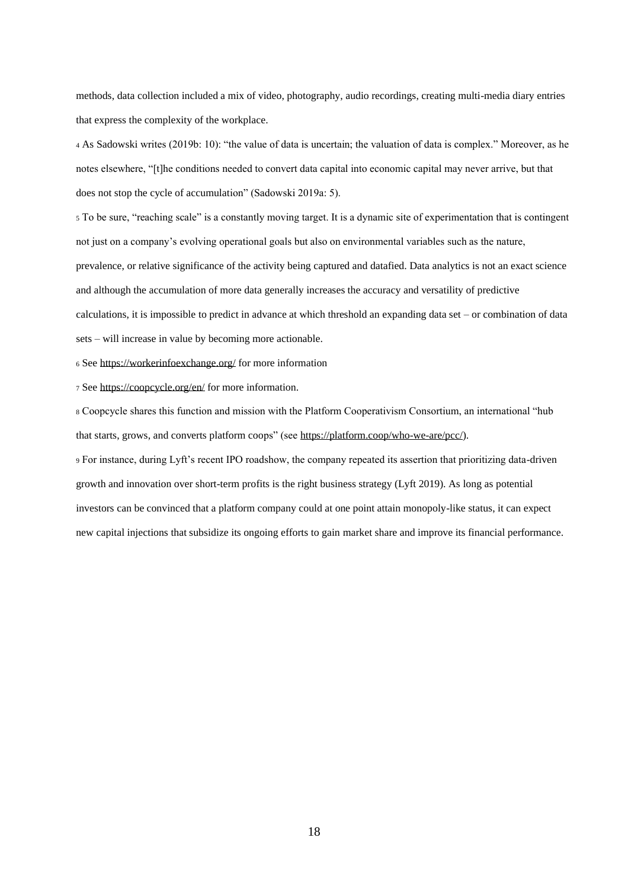methods, data collection included a mix of video, photography, audio recordings, creating multi-media diary entries that express the complexity of the workplace.

<sup>4</sup> As Sadowski writes (2019b: 10): "the value of data is uncertain; the valuation of data is complex." Moreover, as he notes elsewhere, "[t]he conditions needed to convert data capital into economic capital may never arrive, but that does not stop the cycle of accumulation" (Sadowski 2019a: 5).

<sup>5</sup> To be sure, "reaching scale" is a constantly moving target. It is a dynamic site of experimentation that is contingent not just on a company's evolving operational goals but also on environmental variables such as the nature, prevalence, or relative significance of the activity being captured and datafied. Data analytics is not an exact science and although the accumulation of more data generally increases the accuracy and versatility of predictive calculations, it is impossible to predict in advance at which threshold an expanding data set – or combination of data sets – will increase in value by becoming more actionable.

<sup>6</sup> Se[e https://workerinfoexchange.org/](https://workerinfoexchange.org/) for more information

<sup>7</sup> Se[e https://coopcycle.org/en/](https://coopcycle.org/en/) for more information.

<sup>8</sup> Coopcycle shares this function and mission with the Platform Cooperativism Consortium, an international "hub that starts, grows, and converts platform coops" (see [https://platform.coop/who-we-are/pcc/\)](https://platform.coop/who-we-are/pcc/).

<sup>9</sup> For instance, during Lyft's recent IPO roadshow, the company repeated its assertion that prioritizing data-driven growth and innovation over short-term profits is the right business strategy (Lyft 2019). As long as potential investors can be convinced that a platform company could at one point attain monopoly-like status, it can expect new capital injections that subsidize its ongoing efforts to gain market share and improve its financial performance.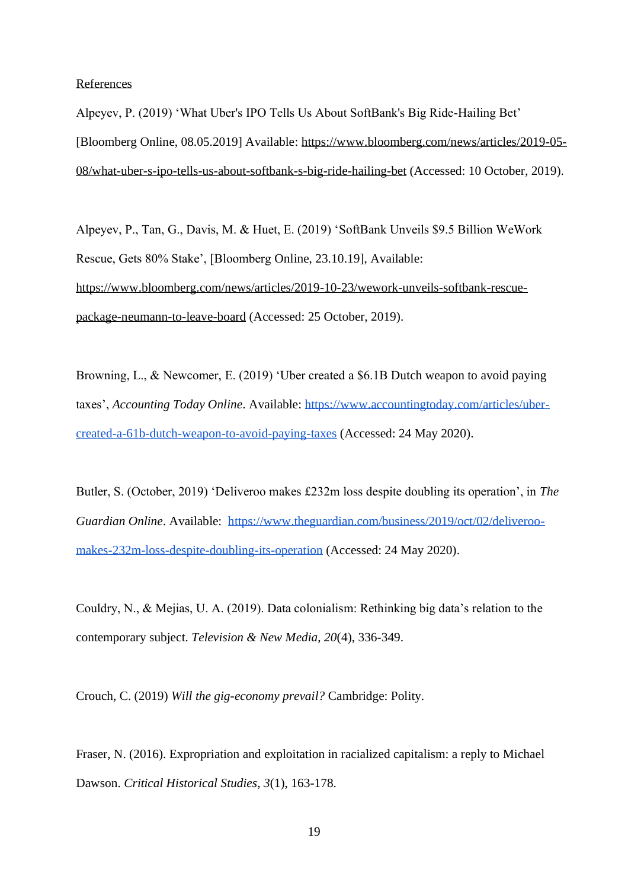#### References

Alpeyev, P. (2019) 'What Uber's IPO Tells Us About SoftBank's Big Ride-Hailing Bet' [Bloomberg Online, 08.05.2019] Available: [https://www.bloomberg.com/news/articles/2019-05-](https://www.bloomberg.com/news/articles/2019-05-08/what-uber-s-ipo-tells-us-about-softbank-s-big-ride-hailing-bet) [08/what-uber-s-ipo-tells-us-about-softbank-s-big-ride-hailing-bet](https://www.bloomberg.com/news/articles/2019-05-08/what-uber-s-ipo-tells-us-about-softbank-s-big-ride-hailing-bet) (Accessed: 10 October, 2019).

Alpeyev, P., Tan, G., Davis, M. & Huet, E. (2019) 'SoftBank Unveils \$9.5 Billion WeWork Rescue, Gets 80% Stake', [Bloomberg Online, 23.10.19], Available: [https://www.bloomberg.com/news/articles/2019-10-23/wework-unveils-softbank-rescue](https://www.bloomberg.com/news/articles/2019-10-23/wework-unveils-softbank-rescue-package-neumann-to-leave-board)[package-neumann-to-leave-board](https://www.bloomberg.com/news/articles/2019-10-23/wework-unveils-softbank-rescue-package-neumann-to-leave-board) (Accessed: 25 October, 2019).

Browning, L., & Newcomer, E. (2019) 'Uber created a \$6.1B Dutch weapon to avoid paying taxes', *Accounting Today Online*. Available: [https://www.accountingtoday.com/articles/uber](https://www.accountingtoday.com/articles/uber-created-a-61b-dutch-weapon-to-avoid-paying-taxes)[created-a-61b-dutch-weapon-to-avoid-paying-taxes](https://www.accountingtoday.com/articles/uber-created-a-61b-dutch-weapon-to-avoid-paying-taxes) (Accessed: 24 May 2020).

Butler, S. (October, 2019) 'Deliveroo makes £232m loss despite doubling its operation', in *The Guardian Online*. Available: [https://www.theguardian.com/business/2019/oct/02/deliveroo](https://www.theguardian.com/business/2019/oct/02/deliveroo-makes-232m-loss-despite-doubling-its-operation)[makes-232m-loss-despite-doubling-its-operation](https://www.theguardian.com/business/2019/oct/02/deliveroo-makes-232m-loss-despite-doubling-its-operation) (Accessed: 24 May 2020).

Couldry, N., & Mejias, U. A. (2019). Data colonialism: Rethinking big data's relation to the contemporary subject. *Television & New Media*, *20*(4), 336-349.

Crouch, C. (2019) *Will the gig-economy prevail?* Cambridge: Polity.

Fraser, N. (2016). Expropriation and exploitation in racialized capitalism: a reply to Michael Dawson. *Critical Historical Studies*, *3*(1), 163-178.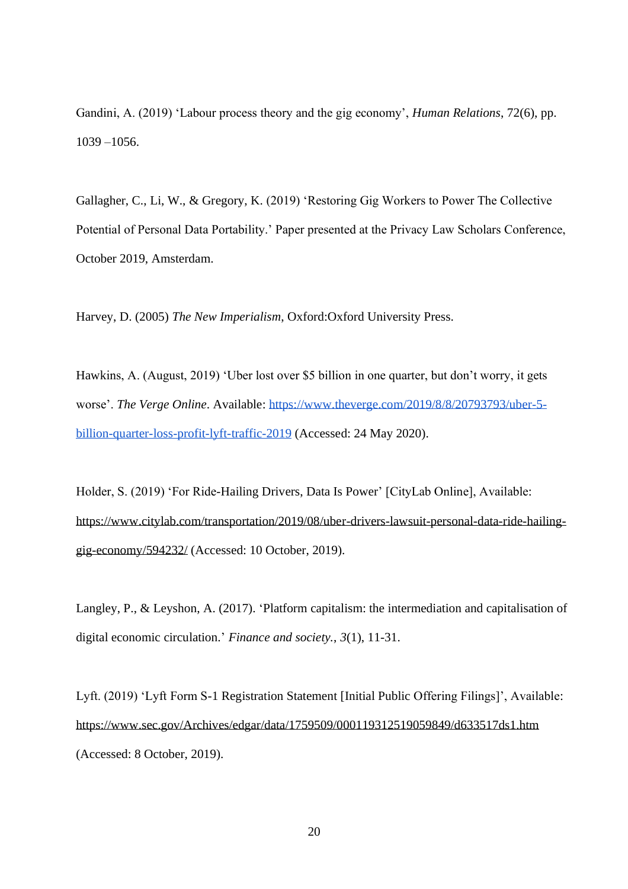Gandini, A. (2019) 'Labour process theory and the gig economy', *Human Relations*, 72(6), pp. 1039 –1056.

Gallagher, C., Li, W., & Gregory, K. (2019) 'Restoring Gig Workers to Power The Collective Potential of Personal Data Portability.' Paper presented at the Privacy Law Scholars Conference, October 2019, Amsterdam.

Harvey, D. (2005) *The New Imperialism*, Oxford:Oxford University Press.

Hawkins, A. (August, 2019) 'Uber lost over \$5 billion in one quarter, but don't worry, it gets worse'. *The Verge Online*. Available: [https://www.theverge.com/2019/8/8/20793793/uber-5](https://www.theverge.com/2019/8/8/20793793/uber-5-billion-quarter-loss-profit-lyft-traffic-2019) [billion-quarter-loss-profit-lyft-traffic-2019](https://www.theverge.com/2019/8/8/20793793/uber-5-billion-quarter-loss-profit-lyft-traffic-2019) (Accessed: 24 May 2020).

Holder, S. (2019) 'For Ride-Hailing Drivers, Data Is Power' [CityLab Online], Available: [https://www.citylab.com/transportation/2019/08/uber-drivers-lawsuit-personal-data-ride-hailing](https://www.citylab.com/transportation/2019/08/uber-drivers-lawsuit-personal-data-ride-hailing-gig-economy/594232/)[gig-economy/594232/](https://www.citylab.com/transportation/2019/08/uber-drivers-lawsuit-personal-data-ride-hailing-gig-economy/594232/) (Accessed: 10 October, 2019).

Langley, P., & Leyshon, A. (2017). 'Platform capitalism: the intermediation and capitalisation of digital economic circulation.' *Finance and society.*, *3*(1), 11-31.

Lyft. (2019) 'Lyft Form S-1 Registration Statement [Initial Public Offering Filings]', Available: <https://www.sec.gov/Archives/edgar/data/1759509/000119312519059849/d633517ds1.htm> (Accessed: 8 October, 2019).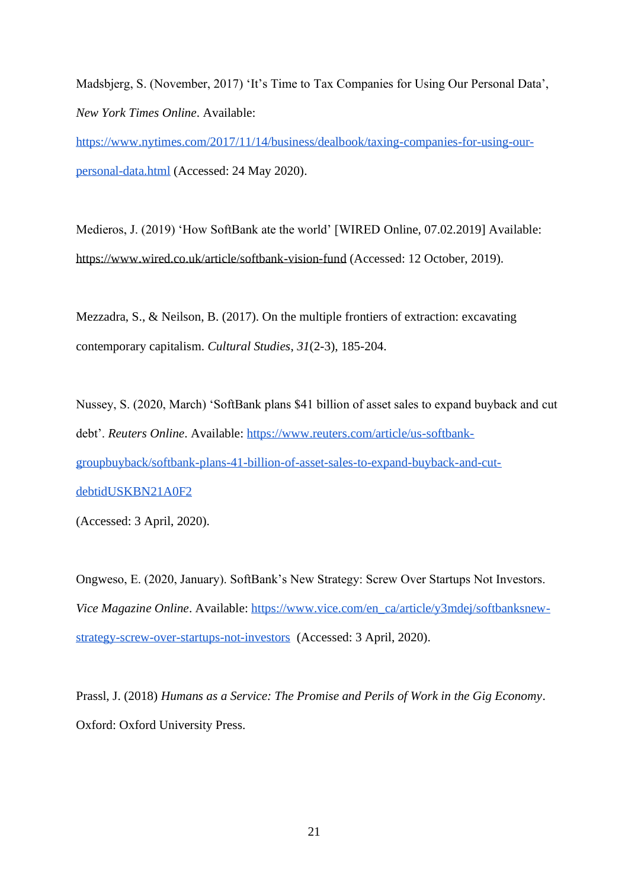Madsbjerg, S. (November, 2017) 'It's Time to Tax Companies for Using Our Personal Data', *New York Times Online*. Available:

[https://www.nytimes.com/2017/11/14/business/dealbook/taxing-companies-for-using-our](https://www.nytimes.com/2017/11/14/business/dealbook/taxing-companies-for-using-our-personal-data.html)[personal-data.html](https://www.nytimes.com/2017/11/14/business/dealbook/taxing-companies-for-using-our-personal-data.html) (Accessed: 24 May 2020).

Medieros, J. (2019) 'How SoftBank ate the world' [WIRED Online, 07.02.2019] Available: <https://www.wired.co.uk/article/softbank-vision-fund> (Accessed: 12 October, 2019).

Mezzadra, S., & Neilson, B. (2017). On the multiple frontiers of extraction: excavating contemporary capitalism. *Cultural Studies*, *31*(2-3), 185-204.

Nussey, S. (2020, March) 'SoftBank plans \$41 billion of asset sales to expand buyback and cut debt'. *Reuters Online*. Available: [https://www.reuters.com/article/us-softbank](https://www.reuters.com/article/us-softbank-groupbuyback/softbank-plans-41-billion-of-asset-sales-to-expand-buyback-and-cut-debtidUSKBN21A0F2)[groupbuyback/softbank-plans-41-billion-of-asset-sales-to-expand-buyback-and-cut](https://www.reuters.com/article/us-softbank-groupbuyback/softbank-plans-41-billion-of-asset-sales-to-expand-buyback-and-cut-debtidUSKBN21A0F2)[debtidUSKBN21A0F2](https://www.reuters.com/article/us-softbank-groupbuyback/softbank-plans-41-billion-of-asset-sales-to-expand-buyback-and-cut-debtidUSKBN21A0F2)

(Accessed: 3 April, 2020).

Ongweso, E. (2020, January). SoftBank's New Strategy: Screw Over Startups Not Investors. *Vice Magazine Online.* Available: [https://www.vice.com/en\\_ca/article/y3mdej/softbanksnew](https://www.vice.com/en_ca/article/y3mdej/softbanksnew-strategy-screw-over-startups-not-investors)[strategy-screw-over-startups-not-investors](https://www.vice.com/en_ca/article/y3mdej/softbanksnew-strategy-screw-over-startups-not-investors) (Accessed: 3 April, 2020).

Prassl, J. (2018) *Humans as a Service: The Promise and Perils of Work in the Gig Economy*. Oxford: Oxford University Press.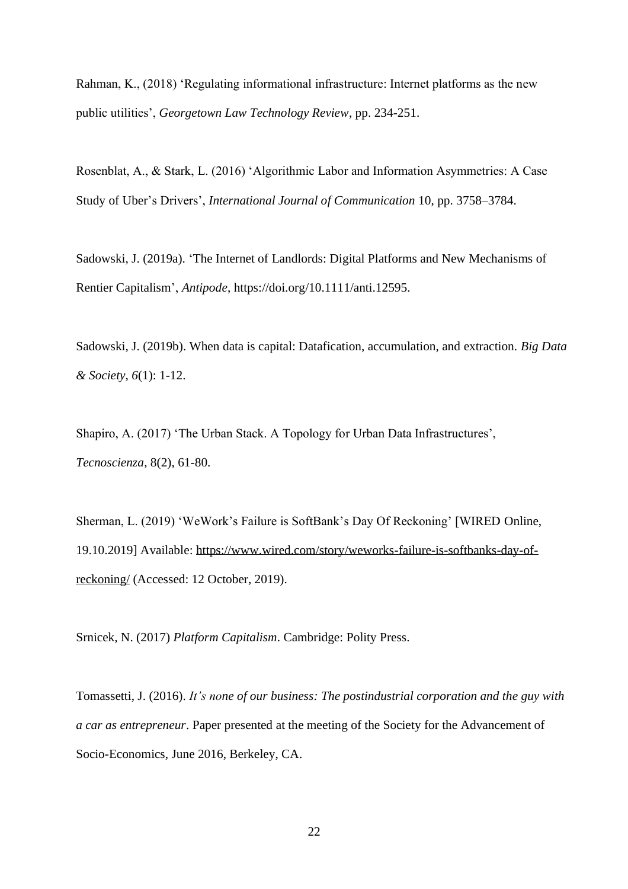Rahman, K., (2018) 'Regulating informational infrastructure: Internet platforms as the new public utilities', *Georgetown Law Technology Review*, pp. 234-251.

Rosenblat, A., & Stark, L. (2016) 'Algorithmic Labor and Information Asymmetries: A Case Study of Uber's Drivers', *International Journal of Communication* 10, pp. 3758–3784.

Sadowski, J. (2019a). 'The Internet of Landlords: Digital Platforms and New Mechanisms of Rentier Capitalism', *Antipode*, https://doi.org/10.1111/anti.12595.

Sadowski, J. (2019b). When data is capital: Datafication, accumulation, and extraction. *Big Data & Society*, *6*(1): 1-12.

Shapiro, A. (2017) 'The Urban Stack. A Topology for Urban Data Infrastructures', *Tecnoscienza*, 8(2), 61-80.

Sherman, L. (2019) 'WeWork's Failure is SoftBank's Day Of Reckoning' [WIRED Online, 19.10.2019] Available: [https://www.wired.com/story/weworks-failure-is-softbanks-day-of](https://www.wired.com/story/weworks-failure-is-softbanks-day-of-reckoning/)[reckoning/](https://www.wired.com/story/weworks-failure-is-softbanks-day-of-reckoning/) (Accessed: 12 October, 2019).

Srnicek, N. (2017) *Platform Capitalism*. Cambridge: Polity Press.

Tomassetti, J. (2016). *It's none of our business: The postindustrial corporation and the guy with a car as entrepreneur*. Paper presented at the meeting of the Society for the Advancement of Socio-Economics, June 2016, Berkeley, CA.